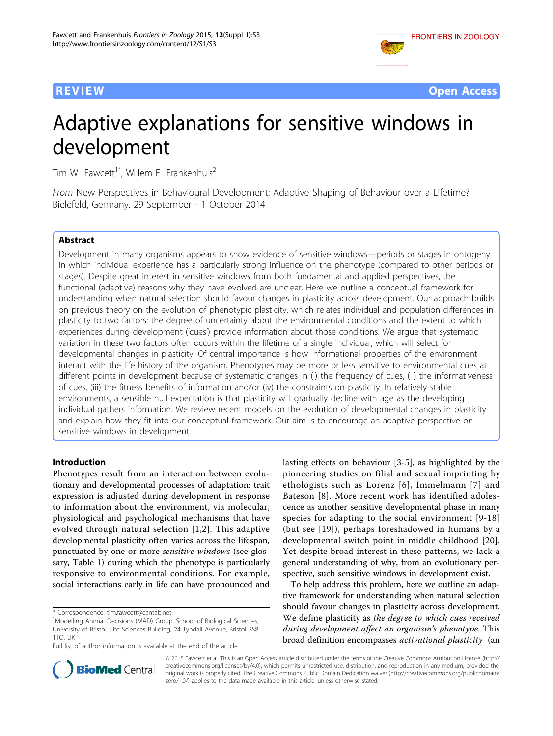



# Adaptive explanations for sensitive windows in development

Tim W Fawcett<sup>1\*</sup>, Willem E Frankenhuis<sup>2</sup>

From New Perspectives in Behavioural Development: Adaptive Shaping of Behaviour over a Lifetime? Bielefeld, Germany. 29 September - 1 October 2014

# Abstract

Development in many organisms appears to show evidence of sensitive windows—periods or stages in ontogeny in which individual experience has a particularly strong influence on the phenotype (compared to other periods or stages). Despite great interest in sensitive windows from both fundamental and applied perspectives, the functional (adaptive) reasons why they have evolved are unclear. Here we outline a conceptual framework for understanding when natural selection should favour changes in plasticity across development. Our approach builds on previous theory on the evolution of phenotypic plasticity, which relates individual and population differences in plasticity to two factors: the degree of uncertainty about the environmental conditions and the extent to which experiences during development ('cues') provide information about those conditions. We argue that systematic variation in these two factors often occurs within the lifetime of a single individual, which will select for developmental changes in plasticity. Of central importance is how informational properties of the environment interact with the life history of the organism. Phenotypes may be more or less sensitive to environmental cues at different points in development because of systematic changes in (i) the frequency of cues, (ii) the informativeness of cues, (iii) the fitness benefits of information and/or (iv) the constraints on plasticity. In relatively stable environments, a sensible null expectation is that plasticity will gradually decline with age as the developing individual gathers information. We review recent models on the evolution of developmental changes in plasticity and explain how they fit into our conceptual framework. Our aim is to encourage an adaptive perspective on sensitive windows in development.

# Introduction

Phenotypes result from an interaction between evolutionary and developmental processes of adaptation: trait expression is adjusted during development in response to information about the environment, via molecular, physiological and psychological mechanisms that have evolved through natural selection [[1](#page-11-0),[2\]](#page-11-0). This adaptive developmental plasticity often varies across the lifespan, punctuated by one or more sensitive windows (see glossary, Table [1](#page-1-0)) during which the phenotype is particularly responsive to environmental conditions. For example, social interactions early in life can have pronounced and lasting effects on behaviour [[3-5](#page-11-0)], as highlighted by the pioneering studies on filial and sexual imprinting by ethologists such as Lorenz [[6](#page-11-0)], Immelmann [[7](#page-11-0)] and Bateson [[8](#page-11-0)]. More recent work has identified adolescence as another sensitive developmental phase in many species for adapting to the social environment [[9](#page-12-0)-[18](#page-12-0)] (but see [[19](#page-12-0)]), perhaps foreshadowed in humans by a developmental switch point in middle childhood [[20](#page-12-0)]. Yet despite broad interest in these patterns, we lack a general understanding of why, from an evolutionary perspective, such sensitive windows in development exist.

To help address this problem, here we outline an adaptive framework for understanding when natural selection should favour changes in plasticity across development. We define plasticity as the degree to which cues received during development affect an organism's phenotype. This broad definition encompasses activational plasticity (an



© 2015 Fawcett et al. This is an Open Access article distributed under the terms of the Creative Commons Attribution License [\(http://](http://creativecommons.org/licenses/by/4.0) [creativecommons.org/licenses/by/4.0](http://creativecommons.org/licenses/by/4.0)), which permits unrestricted use, distribution, and reproduction in any medium, provided the original work is properly cited. The Creative Commons Public Domain Dedication waiver ([http://creativecommons.org/publicdomain/](http://creativecommons.org/publicdomain/zero/1.0/) [zero/1.0/](http://creativecommons.org/publicdomain/zero/1.0/)) applies to the data made available in this article, unless otherwise stated.

<sup>\*</sup> Correspondence: [tim.fawcett@cantab.net](mailto:tim.fawcett@cantab.net)

<sup>&</sup>lt;sup>1</sup>Modelling Animal Decisions (MAD) Group, School of Biological Sciences, University of Bristol, Life Sciences Building, 24 Tyndall Avenue, Bristol BS8 1TQ, UK

Full list of author information is available at the end of the article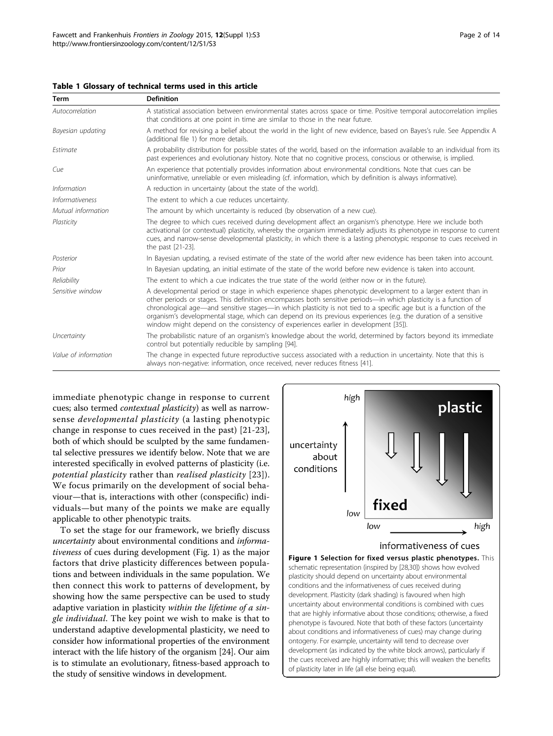<span id="page-1-0"></span>

|  |  |  |  | Table 1 Glossary of technical terms used in this article |  |  |  |  |  |
|--|--|--|--|----------------------------------------------------------|--|--|--|--|--|
|--|--|--|--|----------------------------------------------------------|--|--|--|--|--|

| <b>Term</b>          | <b>Definition</b>                                                                                                                                                                                                                                                                                                                                                                                                                                                                                                                                              |
|----------------------|----------------------------------------------------------------------------------------------------------------------------------------------------------------------------------------------------------------------------------------------------------------------------------------------------------------------------------------------------------------------------------------------------------------------------------------------------------------------------------------------------------------------------------------------------------------|
| Autocorrelation      | A statistical association between environmental states across space or time. Positive temporal autocorrelation implies<br>that conditions at one point in time are similar to those in the near future.                                                                                                                                                                                                                                                                                                                                                        |
| Bayesian updating    | A method for revising a belief about the world in the light of new evidence, based on Bayes's rule. See Appendix A<br>(additional file 1) for more details.                                                                                                                                                                                                                                                                                                                                                                                                    |
| Estimate             | A probability distribution for possible states of the world, based on the information available to an individual from its<br>past experiences and evolutionary history. Note that no cognitive process, conscious or otherwise, is implied.                                                                                                                                                                                                                                                                                                                    |
| Cue                  | An experience that potentially provides information about environmental conditions. Note that cues can be<br>uninformative, unreliable or even misleading (cf. information, which by definition is always informative).                                                                                                                                                                                                                                                                                                                                        |
| <i>Information</i>   | A reduction in uncertainty (about the state of the world).                                                                                                                                                                                                                                                                                                                                                                                                                                                                                                     |
| Informativeness      | The extent to which a cue reduces uncertainty.                                                                                                                                                                                                                                                                                                                                                                                                                                                                                                                 |
| Mutual information   | The amount by which uncertainty is reduced (by observation of a new cue).                                                                                                                                                                                                                                                                                                                                                                                                                                                                                      |
| Plasticity           | The degree to which cues received during development affect an organism's phenotype. Here we include both<br>activational (or contextual) plasticity, whereby the organism immediately adjusts its phenotype in response to current<br>cues, and narrow-sense developmental plasticity, in which there is a lasting phenotypic response to cues received in<br>the past [21-23].                                                                                                                                                                               |
| Posterior            | In Bayesian updating, a revised estimate of the state of the world after new evidence has been taken into account.                                                                                                                                                                                                                                                                                                                                                                                                                                             |
| Prior                | In Bayesian updating, an initial estimate of the state of the world before new evidence is taken into account.                                                                                                                                                                                                                                                                                                                                                                                                                                                 |
| Reliability          | The extent to which a cue indicates the true state of the world (either now or in the future).                                                                                                                                                                                                                                                                                                                                                                                                                                                                 |
| Sensitive window     | A developmental period or stage in which experience shapes phenotypic development to a larger extent than in<br>other periods or stages. This definition encompasses both sensitive periods—in which plasticity is a function of<br>chronological age—and sensitive stages—in which plasticity is not tied to a specific age but is a function of the<br>organism's developmental stage, which can depend on its previous experiences (e.g. the duration of a sensitive<br>window might depend on the consistency of experiences earlier in development [35]). |
| Uncertainty          | The probabilistic nature of an organism's knowledge about the world, determined by factors beyond its immediate<br>control but potentially reducible by sampling [94].                                                                                                                                                                                                                                                                                                                                                                                         |
| Value of information | The change in expected future reproductive success associated with a reduction in uncertainty. Note that this is<br>always non-negative: information, once received, never reduces fitness [41].                                                                                                                                                                                                                                                                                                                                                               |

immediate phenotypic change in response to current cues; also termed contextual plasticity) as well as narrowsense developmental plasticity (a lasting phenotypic change in response to cues received in the past) [[21-23](#page-12-0)], both of which should be sculpted by the same fundamental selective pressures we identify below. Note that we are interested specifically in evolved patterns of plasticity (i.e. potential plasticity rather than realised plasticity [\[23\]](#page-12-0)). We focus primarily on the development of social behaviour—that is, interactions with other (conspecific) individuals—but many of the points we make are equally applicable to other phenotypic traits.

To set the stage for our framework, we briefly discuss uncertainty about environmental conditions and informativeness of cues during development (Fig. 1) as the major factors that drive plasticity differences between populations and between individuals in the same population. We then connect this work to patterns of development, by showing how the same perspective can be used to study adaptive variation in plasticity within the lifetime of a single individual. The key point we wish to make is that to understand adaptive developmental plasticity, we need to consider how informational properties of the environment interact with the life history of the organism [\[24\]](#page-12-0). Our aim is to stimulate an evolutionary, fitness-based approach to the study of sensitive windows in development.

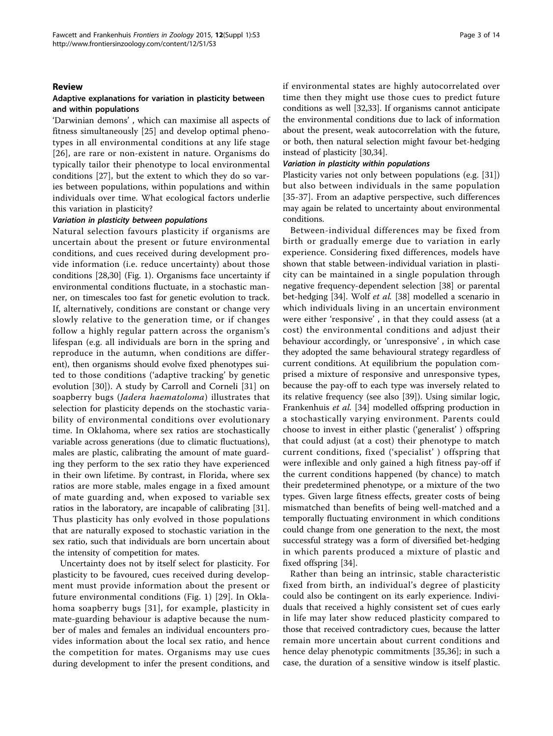#### Review

# Adaptive explanations for variation in plasticity between and within populations

'Darwinian demons' , which can maximise all aspects of fitness simultaneously [\[25](#page-12-0)] and develop optimal phenotypes in all environmental conditions at any life stage [[26](#page-12-0)], are rare or non-existent in nature. Organisms do typically tailor their phenotype to local environmental conditions [\[27](#page-12-0)], but the extent to which they do so varies between populations, within populations and within individuals over time. What ecological factors underlie this variation in plasticity?

#### Variation in plasticity between populations

Natural selection favours plasticity if organisms are uncertain about the present or future environmental conditions, and cues received during development provide information (i.e. reduce uncertainty) about those conditions [[28,30\]](#page-12-0) (Fig. [1](#page-1-0)). Organisms face uncertainty if environmental conditions fluctuate, in a stochastic manner, on timescales too fast for genetic evolution to track. If, alternatively, conditions are constant or change very slowly relative to the generation time, or if changes follow a highly regular pattern across the organism's lifespan (e.g. all individuals are born in the spring and reproduce in the autumn, when conditions are different), then organisms should evolve fixed phenotypes suited to those conditions ('adaptive tracking' by genetic evolution [\[30](#page-12-0)]). A study by Carroll and Corneli [\[31](#page-12-0)] on soapberry bugs (Jadera haematoloma) illustrates that selection for plasticity depends on the stochastic variability of environmental conditions over evolutionary time. In Oklahoma, where sex ratios are stochastically variable across generations (due to climatic fluctuations), males are plastic, calibrating the amount of mate guarding they perform to the sex ratio they have experienced in their own lifetime. By contrast, in Florida, where sex ratios are more stable, males engage in a fixed amount of mate guarding and, when exposed to variable sex ratios in the laboratory, are incapable of calibrating [\[31](#page-12-0)]. Thus plasticity has only evolved in those populations that are naturally exposed to stochastic variation in the sex ratio, such that individuals are born uncertain about the intensity of competition for mates.

Uncertainty does not by itself select for plasticity. For plasticity to be favoured, cues received during development must provide information about the present or future environmental conditions (Fig. [1](#page-1-0)) [[29](#page-12-0)]. In Oklahoma soapberry bugs [[31\]](#page-12-0), for example, plasticity in mate-guarding behaviour is adaptive because the number of males and females an individual encounters provides information about the local sex ratio, and hence the competition for mates. Organisms may use cues during development to infer the present conditions, and if environmental states are highly autocorrelated over time then they might use those cues to predict future conditions as well [\[32,33\]](#page-12-0). If organisms cannot anticipate the environmental conditions due to lack of information about the present, weak autocorrelation with the future, or both, then natural selection might favour bet-hedging instead of plasticity [\[30,34](#page-12-0)].

#### Variation in plasticity within populations

Plasticity varies not only between populations (e.g. [\[31](#page-12-0)]) but also between individuals in the same population [[35](#page-12-0)-[37\]](#page-12-0). From an adaptive perspective, such differences may again be related to uncertainty about environmental conditions.

Between-individual differences may be fixed from birth or gradually emerge due to variation in early experience. Considering fixed differences, models have shown that stable between-individual variation in plasticity can be maintained in a single population through negative frequency-dependent selection [\[38\]](#page-12-0) or parental bet-hedging [[34](#page-12-0)]. Wolf et al. [[38\]](#page-12-0) modelled a scenario in which individuals living in an uncertain environment were either 'responsive' , in that they could assess (at a cost) the environmental conditions and adjust their behaviour accordingly, or 'unresponsive' , in which case they adopted the same behavioural strategy regardless of current conditions. At equilibrium the population comprised a mixture of responsive and unresponsive types, because the pay-off to each type was inversely related to its relative frequency (see also [[39](#page-12-0)]). Using similar logic, Frankenhuis et al. [\[34](#page-12-0)] modelled offspring production in a stochastically varying environment. Parents could choose to invest in either plastic ('generalist' ) offspring that could adjust (at a cost) their phenotype to match current conditions, fixed ('specialist' ) offspring that were inflexible and only gained a high fitness pay-off if the current conditions happened (by chance) to match their predetermined phenotype, or a mixture of the two types. Given large fitness effects, greater costs of being mismatched than benefits of being well-matched and a temporally fluctuating environment in which conditions could change from one generation to the next, the most successful strategy was a form of diversified bet-hedging in which parents produced a mixture of plastic and fixed offspring [\[34\]](#page-12-0).

Rather than being an intrinsic, stable characteristic fixed from birth, an individual's degree of plasticity could also be contingent on its early experience. Individuals that received a highly consistent set of cues early in life may later show reduced plasticity compared to those that received contradictory cues, because the latter remain more uncertain about current conditions and hence delay phenotypic commitments [[35](#page-12-0),[36\]](#page-12-0); in such a case, the duration of a sensitive window is itself plastic.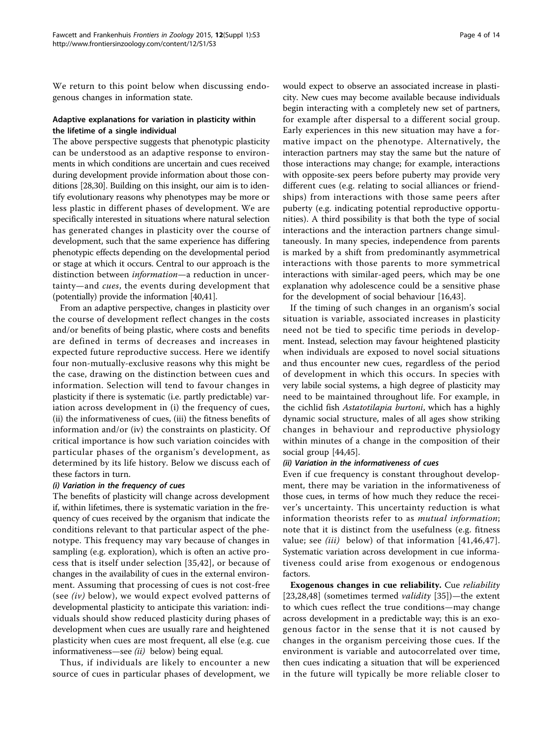We return to this point below when discussing endogenous changes in information state.

# Adaptive explanations for variation in plasticity within the lifetime of a single individual

The above perspective suggests that phenotypic plasticity can be understood as an adaptive response to environments in which conditions are uncertain and cues received during development provide information about those conditions [[28,30\]](#page-12-0). Building on this insight, our aim is to identify evolutionary reasons why phenotypes may be more or less plastic in different phases of development. We are specifically interested in situations where natural selection has generated changes in plasticity over the course of development, such that the same experience has differing phenotypic effects depending on the developmental period or stage at which it occurs. Central to our approach is the distinction between information—a reduction in uncertainty—and cues, the events during development that (potentially) provide the information [[40](#page-12-0),[41](#page-12-0)].

From an adaptive perspective, changes in plasticity over the course of development reflect changes in the costs and/or benefits of being plastic, where costs and benefits are defined in terms of decreases and increases in expected future reproductive success. Here we identify four non-mutually-exclusive reasons why this might be the case, drawing on the distinction between cues and information. Selection will tend to favour changes in plasticity if there is systematic (i.e. partly predictable) variation across development in (i) the frequency of cues, (ii) the informativeness of cues, (iii) the fitness benefits of information and/or (iv) the constraints on plasticity. Of critical importance is how such variation coincides with particular phases of the organism's development, as determined by its life history. Below we discuss each of these factors in turn.

## (i) Variation in the frequency of cues

The benefits of plasticity will change across development if, within lifetimes, there is systematic variation in the frequency of cues received by the organism that indicate the conditions relevant to that particular aspect of the phenotype. This frequency may vary because of changes in sampling (e.g. exploration), which is often an active process that is itself under selection [\[35,42](#page-12-0)], or because of changes in the availability of cues in the external environment. Assuming that processing of cues is not cost-free (see (iv) below), we would expect evolved patterns of developmental plasticity to anticipate this variation: individuals should show reduced plasticity during phases of development when cues are usually rare and heightened plasticity when cues are most frequent, all else (e.g. cue informativeness—see  $(ii)$  below) being equal.

Thus, if individuals are likely to encounter a new source of cues in particular phases of development, we would expect to observe an associated increase in plasticity. New cues may become available because individuals begin interacting with a completely new set of partners, for example after dispersal to a different social group. Early experiences in this new situation may have a formative impact on the phenotype. Alternatively, the interaction partners may stay the same but the nature of those interactions may change; for example, interactions with opposite-sex peers before puberty may provide very different cues (e.g. relating to social alliances or friendships) from interactions with those same peers after puberty (e.g. indicating potential reproductive opportunities). A third possibility is that both the type of social interactions and the interaction partners change simultaneously. In many species, independence from parents is marked by a shift from predominantly asymmetrical interactions with those parents to more symmetrical interactions with similar-aged peers, which may be one explanation why adolescence could be a sensitive phase for the development of social behaviour [[16,43\]](#page-12-0).

If the timing of such changes in an organism's social situation is variable, associated increases in plasticity need not be tied to specific time periods in development. Instead, selection may favour heightened plasticity when individuals are exposed to novel social situations and thus encounter new cues, regardless of the period of development in which this occurs. In species with very labile social systems, a high degree of plasticity may need to be maintained throughout life. For example, in the cichlid fish Astatotilapia burtoni, which has a highly dynamic social structure, males of all ages show striking changes in behaviour and reproductive physiology within minutes of a change in the composition of their social group [[44,45\]](#page-12-0).

# (ii) Variation in the informativeness of cues

Even if cue frequency is constant throughout development, there may be variation in the informativeness of those cues, in terms of how much they reduce the receiver's uncertainty. This uncertainty reduction is what information theorists refer to as mutual information; note that it is distinct from the usefulness (e.g. fitness value; see *(iii)* below) of that information [[41](#page-12-0),[46](#page-12-0),[47\]](#page-12-0). Systematic variation across development in cue informativeness could arise from exogenous or endogenous factors.

Exogenous changes in cue reliability. Cue reliability [[23,28,48](#page-12-0)] (sometimes termed *validity* [[35\]](#page-12-0))—the extent to which cues reflect the true conditions—may change across development in a predictable way; this is an exogenous factor in the sense that it is not caused by changes in the organism perceiving those cues. If the environment is variable and autocorrelated over time, then cues indicating a situation that will be experienced in the future will typically be more reliable closer to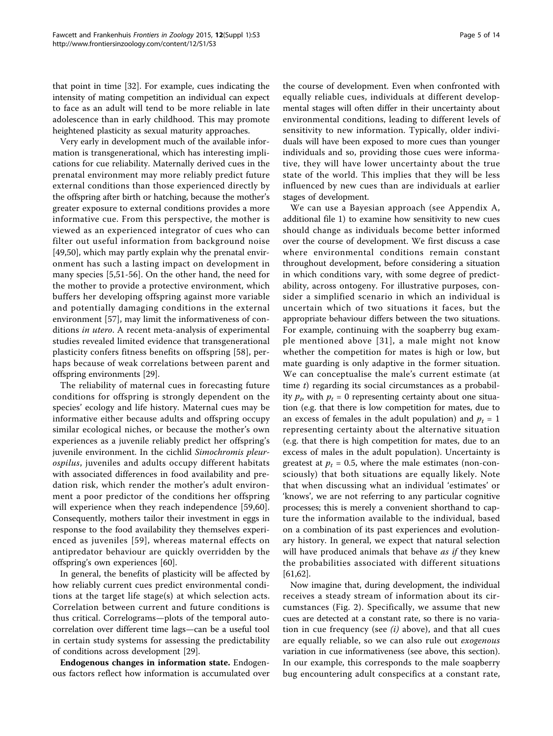that point in time [\[32](#page-12-0)]. For example, cues indicating the intensity of mating competition an individual can expect to face as an adult will tend to be more reliable in late adolescence than in early childhood. This may promote heightened plasticity as sexual maturity approaches.

Very early in development much of the available information is transgenerational, which has interesting implications for cue reliability. Maternally derived cues in the prenatal environment may more reliably predict future external conditions than those experienced directly by the offspring after birth or hatching, because the mother's greater exposure to external conditions provides a more informative cue. From this perspective, the mother is viewed as an experienced integrator of cues who can filter out useful information from background noise [[49,50\]](#page-12-0), which may partly explain why the prenatal environment has such a lasting impact on development in many species [[5,](#page-11-0)[51-56\]](#page-12-0). On the other hand, the need for the mother to provide a protective environment, which buffers her developing offspring against more variable and potentially damaging conditions in the external environment [[57\]](#page-12-0), may limit the informativeness of conditions in utero. A recent meta-analysis of experimental studies revealed limited evidence that transgenerational plasticity confers fitness benefits on offspring [[58\]](#page-12-0), perhaps because of weak correlations between parent and offspring environments [\[29\]](#page-12-0).

The reliability of maternal cues in forecasting future conditions for offspring is strongly dependent on the species' ecology and life history. Maternal cues may be informative either because adults and offspring occupy similar ecological niches, or because the mother's own experiences as a juvenile reliably predict her offspring's juvenile environment. In the cichlid Simochromis pleurospilus, juveniles and adults occupy different habitats with associated differences in food availability and predation risk, which render the mother's adult environment a poor predictor of the conditions her offspring will experience when they reach independence [[59,60](#page-12-0)]. Consequently, mothers tailor their investment in eggs in response to the food availability they themselves experienced as juveniles [[59](#page-12-0)], whereas maternal effects on antipredator behaviour are quickly overridden by the offspring's own experiences [[60\]](#page-12-0).

In general, the benefits of plasticity will be affected by how reliably current cues predict environmental conditions at the target life stage(s) at which selection acts. Correlation between current and future conditions is thus critical. Correlograms—plots of the temporal autocorrelation over different time lags—can be a useful tool in certain study systems for assessing the predictability of conditions across development [[29](#page-12-0)].

Endogenous changes in information state. Endogenous factors reflect how information is accumulated over

the course of development. Even when confronted with equally reliable cues, individuals at different developmental stages will often differ in their uncertainty about environmental conditions, leading to different levels of sensitivity to new information. Typically, older individuals will have been exposed to more cues than younger individuals and so, providing those cues were informative, they will have lower uncertainty about the true state of the world. This implies that they will be less influenced by new cues than are individuals at earlier stages of development.

We can use a Bayesian approach (see Appendix A, additional file [1](#page-11-0)) to examine how sensitivity to new cues should change as individuals become better informed over the course of development. We first discuss a case where environmental conditions remain constant throughout development, before considering a situation in which conditions vary, with some degree of predictability, across ontogeny. For illustrative purposes, consider a simplified scenario in which an individual is uncertain which of two situations it faces, but the appropriate behaviour differs between the two situations. For example, continuing with the soapberry bug example mentioned above [[31](#page-12-0)], a male might not know whether the competition for mates is high or low, but mate guarding is only adaptive in the former situation. We can conceptualise the male's current estimate (at time t) regarding its social circumstances as a probability  $p_t$ , with  $p_t = 0$  representing certainty about one situation (e.g. that there is low competition for mates, due to an excess of females in the adult population) and  $p_t = 1$ representing certainty about the alternative situation (e.g. that there is high competition for mates, due to an excess of males in the adult population). Uncertainty is greatest at  $p_t = 0.5$ , where the male estimates (non-consciously) that both situations are equally likely. Note that when discussing what an individual 'estimates' or 'knows', we are not referring to any particular cognitive processes; this is merely a convenient shorthand to capture the information available to the individual, based on a combination of its past experiences and evolutionary history. In general, we expect that natural selection will have produced animals that behave as if they knew the probabilities associated with different situations [[61,62\]](#page-12-0).

Now imagine that, during development, the individual receives a steady stream of information about its circumstances (Fig. [2](#page-5-0)). Specifically, we assume that new cues are detected at a constant rate, so there is no variation in cue frequency (see  $(i)$  above), and that all cues are equally reliable, so we can also rule out exogenous variation in cue informativeness (see above, this section). In our example, this corresponds to the male soapberry bug encountering adult conspecifics at a constant rate,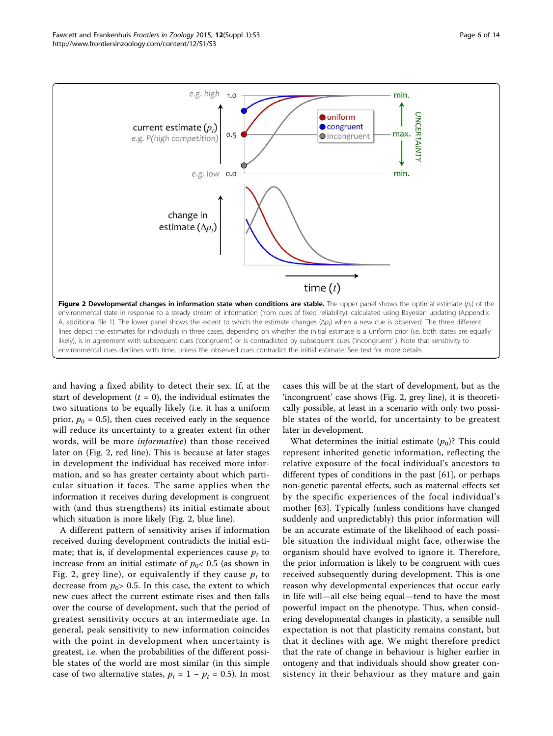<span id="page-5-0"></span>

and having a fixed ability to detect their sex. If, at the start of development  $(t = 0)$ , the individual estimates the two situations to be equally likely (i.e. it has a uniform prior,  $p_0 = 0.5$ ), then cues received early in the sequence will reduce its uncertainty to a greater extent (in other words, will be more informative) than those received later on (Fig. 2, red line). This is because at later stages in development the individual has received more information, and so has greater certainty about which particular situation it faces. The same applies when the information it receives during development is congruent with (and thus strengthens) its initial estimate about which situation is more likely (Fig. 2, blue line).

A different pattern of sensitivity arises if information received during development contradicts the initial estimate; that is, if developmental experiences cause  $p_t$  to increase from an initial estimate of  $p_0$ < 0.5 (as shown in Fig. 2, grey line), or equivalently if they cause  $p_t$  to decrease from  $p_0$ > 0.5. In this case, the extent to which new cues affect the current estimate rises and then falls over the course of development, such that the period of greatest sensitivity occurs at an intermediate age. In general, peak sensitivity to new information coincides with the point in development when uncertainty is greatest, i.e. when the probabilities of the different possible states of the world are most similar (in this simple case of two alternative states,  $p_t = 1 - p_t = 0.5$ ). In most

cases this will be at the start of development, but as the 'incongruent' case shows (Fig. 2, grey line), it is theoretically possible, at least in a scenario with only two possible states of the world, for uncertainty to be greatest later in development.

What determines the initial estimate  $(p_0)$ ? This could represent inherited genetic information, reflecting the relative exposure of the focal individual's ancestors to different types of conditions in the past [[61\]](#page-12-0), or perhaps non-genetic parental effects, such as maternal effects set by the specific experiences of the focal individual's mother [[63\]](#page-13-0). Typically (unless conditions have changed suddenly and unpredictably) this prior information will be an accurate estimate of the likelihood of each possible situation the individual might face, otherwise the organism should have evolved to ignore it. Therefore, the prior information is likely to be congruent with cues received subsequently during development. This is one reason why developmental experiences that occur early in life will—all else being equal—tend to have the most powerful impact on the phenotype. Thus, when considering developmental changes in plasticity, a sensible null expectation is not that plasticity remains constant, but that it declines with age. We might therefore predict that the rate of change in behaviour is higher earlier in ontogeny and that individuals should show greater consistency in their behaviour as they mature and gain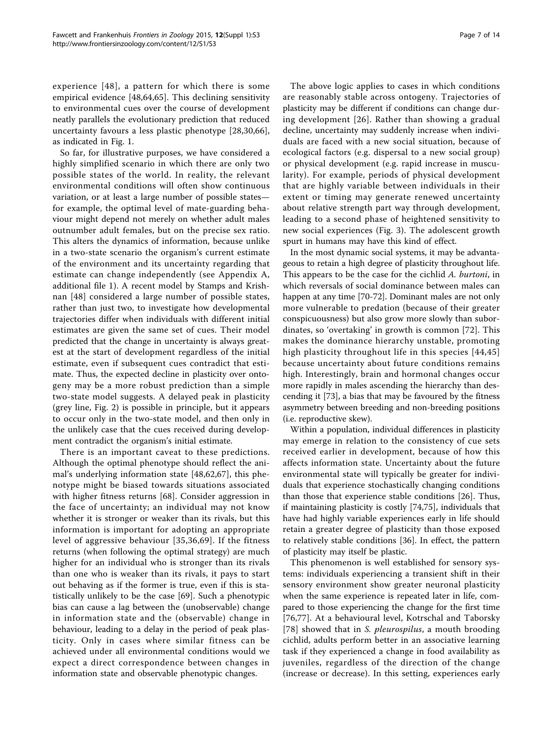experience [[48\]](#page-12-0), a pattern for which there is some empirical evidence [[48,](#page-12-0)[64,65](#page-13-0)]. This declining sensitivity to environmental cues over the course of development neatly parallels the evolutionary prediction that reduced uncertainty favours a less plastic phenotype [\[28](#page-12-0),[30,](#page-12-0)[66](#page-13-0)], as indicated in Fig. [1](#page-1-0).

So far, for illustrative purposes, we have considered a highly simplified scenario in which there are only two possible states of the world. In reality, the relevant environmental conditions will often show continuous variation, or at least a large number of possible states for example, the optimal level of mate-guarding behaviour might depend not merely on whether adult males outnumber adult females, but on the precise sex ratio. This alters the dynamics of information, because unlike in a two-state scenario the organism's current estimate of the environment and its uncertainty regarding that estimate can change independently (see Appendix A, additional file 1). A recent model by Stamps and Krishnan [\[48\]](#page-12-0) considered a large number of possible states, rather than just two, to investigate how developmental trajectories differ when individuals with different initial estimates are given the same set of cues. Their model predicted that the change in uncertainty is always greatest at the start of development regardless of the initial estimate, even if subsequent cues contradict that estimate. Thus, the expected decline in plasticity over ontogeny may be a more robust prediction than a simple two-state model suggests. A delayed peak in plasticity (grey line, Fig. [2](#page-5-0)) is possible in principle, but it appears to occur only in the two-state model, and then only in the unlikely case that the cues received during development contradict the organism's initial estimate.

There is an important caveat to these predictions. Although the optimal phenotype should reflect the animal's underlying information state [\[48](#page-12-0),[62,](#page-12-0)[67\]](#page-13-0), this phenotype might be biased towards situations associated with higher fitness returns [\[68](#page-13-0)]. Consider aggression in the face of uncertainty; an individual may not know whether it is stronger or weaker than its rivals, but this information is important for adopting an appropriate level of aggressive behaviour [[35](#page-12-0),[36,](#page-12-0)[69\]](#page-13-0). If the fitness returns (when following the optimal strategy) are much higher for an individual who is stronger than its rivals than one who is weaker than its rivals, it pays to start out behaving as if the former is true, even if this is statistically unlikely to be the case [[69\]](#page-13-0). Such a phenotypic bias can cause a lag between the (unobservable) change in information state and the (observable) change in behaviour, leading to a delay in the period of peak plasticity. Only in cases where similar fitness can be achieved under all environmental conditions would we expect a direct correspondence between changes in information state and observable phenotypic changes.

The above logic applies to cases in which conditions are reasonably stable across ontogeny. Trajectories of plasticity may be different if conditions can change during development [\[26\]](#page-12-0). Rather than showing a gradual decline, uncertainty may suddenly increase when individuals are faced with a new social situation, because of ecological factors (e.g. dispersal to a new social group) or physical development (e.g. rapid increase in muscularity). For example, periods of physical development that are highly variable between individuals in their extent or timing may generate renewed uncertainty about relative strength part way through development, leading to a second phase of heightened sensitivity to new social experiences (Fig. [3\)](#page-7-0). The adolescent growth spurt in humans may have this kind of effect.

In the most dynamic social systems, it may be advantageous to retain a high degree of plasticity throughout life. This appears to be the case for the cichlid A. burtoni, in which reversals of social dominance between males can happen at any time [[70](#page-13-0)-[72\]](#page-13-0). Dominant males are not only more vulnerable to predation (because of their greater conspicuousness) but also grow more slowly than subordinates, so 'overtaking' in growth is common [[72](#page-13-0)]. This makes the dominance hierarchy unstable, promoting high plasticity throughout life in this species [[44](#page-12-0),[45](#page-12-0)] because uncertainty about future conditions remains high. Interestingly, brain and hormonal changes occur more rapidly in males ascending the hierarchy than descending it [\[73](#page-13-0)], a bias that may be favoured by the fitness asymmetry between breeding and non-breeding positions (i.e. reproductive skew).

Within a population, individual differences in plasticity may emerge in relation to the consistency of cue sets received earlier in development, because of how this affects information state. Uncertainty about the future environmental state will typically be greater for individuals that experience stochastically changing conditions than those that experience stable conditions [[26](#page-12-0)]. Thus, if maintaining plasticity is costly [[74,75](#page-13-0)], individuals that have had highly variable experiences early in life should retain a greater degree of plasticity than those exposed to relatively stable conditions [[36\]](#page-12-0). In effect, the pattern of plasticity may itself be plastic.

This phenomenon is well established for sensory systems: individuals experiencing a transient shift in their sensory environment show greater neuronal plasticity when the same experience is repeated later in life, compared to those experiencing the change for the first time [[76,77](#page-13-0)]. At a behavioural level, Kotrschal and Taborsky [[78](#page-13-0)] showed that in S. pleurospilus, a mouth brooding cichlid, adults perform better in an associative learning task if they experienced a change in food availability as juveniles, regardless of the direction of the change (increase or decrease). In this setting, experiences early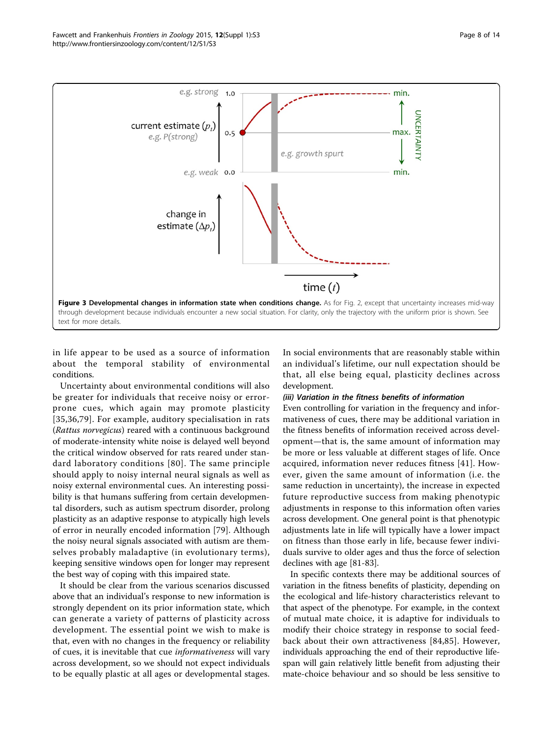<span id="page-7-0"></span>

in life appear to be used as a source of information about the temporal stability of environmental conditions.

Uncertainty about environmental conditions will also be greater for individuals that receive noisy or errorprone cues, which again may promote plasticity [[35](#page-12-0),[36](#page-12-0),[79\]](#page-13-0). For example, auditory specialisation in rats (Rattus norvegicus) reared with a continuous background of moderate-intensity white noise is delayed well beyond the critical window observed for rats reared under standard laboratory conditions [[80\]](#page-13-0). The same principle should apply to noisy internal neural signals as well as noisy external environmental cues. An interesting possibility is that humans suffering from certain developmental disorders, such as autism spectrum disorder, prolong plasticity as an adaptive response to atypically high levels of error in neurally encoded information [[79\]](#page-13-0). Although the noisy neural signals associated with autism are themselves probably maladaptive (in evolutionary terms), keeping sensitive windows open for longer may represent the best way of coping with this impaired state.

It should be clear from the various scenarios discussed above that an individual's response to new information is strongly dependent on its prior information state, which can generate a variety of patterns of plasticity across development. The essential point we wish to make is that, even with no changes in the frequency or reliability of cues, it is inevitable that cue informativeness will vary across development, so we should not expect individuals to be equally plastic at all ages or developmental stages.

In social environments that are reasonably stable within an individual's lifetime, our null expectation should be that, all else being equal, plasticity declines across development.

#### (iii) Variation in the fitness benefits of information

Even controlling for variation in the frequency and informativeness of cues, there may be additional variation in the fitness benefits of information received across development—that is, the same amount of information may be more or less valuable at different stages of life. Once acquired, information never reduces fitness [[41](#page-12-0)]. However, given the same amount of information (i.e. the same reduction in uncertainty), the increase in expected future reproductive success from making phenotypic adjustments in response to this information often varies across development. One general point is that phenotypic adjustments late in life will typically have a lower impact on fitness than those early in life, because fewer individuals survive to older ages and thus the force of selection declines with age [[81-83\]](#page-13-0).

In specific contexts there may be additional sources of variation in the fitness benefits of plasticity, depending on the ecological and life-history characteristics relevant to that aspect of the phenotype. For example, in the context of mutual mate choice, it is adaptive for individuals to modify their choice strategy in response to social feedback about their own attractiveness [\[84,85](#page-13-0)]. However, individuals approaching the end of their reproductive lifespan will gain relatively little benefit from adjusting their mate-choice behaviour and so should be less sensitive to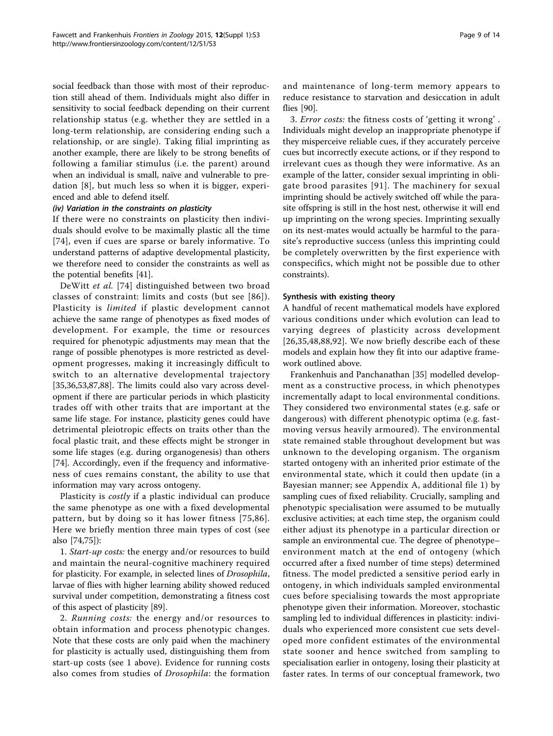social feedback than those with most of their reproduction still ahead of them. Individuals might also differ in sensitivity to social feedback depending on their current relationship status (e.g. whether they are settled in a long-term relationship, are considering ending such a relationship, or are single). Taking filial imprinting as another example, there are likely to be strong benefits of following a familiar stimulus (i.e. the parent) around when an individual is small, naïve and vulnerable to predation [[8\]](#page-11-0), but much less so when it is bigger, experienced and able to defend itself.

## (iv) Variation in the constraints on plasticity

If there were no constraints on plasticity then individuals should evolve to be maximally plastic all the time [[74](#page-13-0)], even if cues are sparse or barely informative. To understand patterns of adaptive developmental plasticity, we therefore need to consider the constraints as well as the potential benefits [[41](#page-12-0)].

DeWitt et al. [\[74\]](#page-13-0) distinguished between two broad classes of constraint: limits and costs (but see [[86](#page-13-0)]). Plasticity is limited if plastic development cannot achieve the same range of phenotypes as fixed modes of development. For example, the time or resources required for phenotypic adjustments may mean that the range of possible phenotypes is more restricted as development progresses, making it increasingly difficult to switch to an alternative developmental trajectory [[35,36,53,](#page-12-0)[87,88\]](#page-13-0). The limits could also vary across development if there are particular periods in which plasticity trades off with other traits that are important at the same life stage. For instance, plasticity genes could have detrimental pleiotropic effects on traits other than the focal plastic trait, and these effects might be stronger in some life stages (e.g. during organogenesis) than others [[74\]](#page-13-0). Accordingly, even if the frequency and informativeness of cues remains constant, the ability to use that information may vary across ontogeny.

Plasticity is costly if a plastic individual can produce the same phenotype as one with a fixed developmental pattern, but by doing so it has lower fitness [[75,86\]](#page-13-0). Here we briefly mention three main types of cost (see also [[74,75\]](#page-13-0)):

1. Start-up costs: the energy and/or resources to build and maintain the neural-cognitive machinery required for plasticity. For example, in selected lines of Drosophila, larvae of flies with higher learning ability showed reduced survival under competition, demonstrating a fitness cost of this aspect of plasticity [\[89](#page-13-0)].

2. Running costs: the energy and/or resources to obtain information and process phenotypic changes. Note that these costs are only paid when the machinery for plasticity is actually used, distinguishing them from start-up costs (see 1 above). Evidence for running costs also comes from studies of Drosophila: the formation and maintenance of long-term memory appears to reduce resistance to starvation and desiccation in adult flies [\[90\]](#page-13-0).

3. Error costs: the fitness costs of 'getting it wrong' . Individuals might develop an inappropriate phenotype if they misperceive reliable cues, if they accurately perceive cues but incorrectly execute actions, or if they respond to irrelevant cues as though they were informative. As an example of the latter, consider sexual imprinting in obligate brood parasites [[91\]](#page-13-0). The machinery for sexual imprinting should be actively switched off while the parasite offspring is still in the host nest, otherwise it will end up imprinting on the wrong species. Imprinting sexually on its nest-mates would actually be harmful to the parasite's reproductive success (unless this imprinting could be completely overwritten by the first experience with conspecifics, which might not be possible due to other constraints).

# Synthesis with existing theory

A handful of recent mathematical models have explored various conditions under which evolution can lead to varying degrees of plasticity across development [[26](#page-12-0),[35,48](#page-12-0),[88,92](#page-13-0)]. We now briefly describe each of these models and explain how they fit into our adaptive framework outlined above.

Frankenhuis and Panchanathan [\[35](#page-12-0)] modelled development as a constructive process, in which phenotypes incrementally adapt to local environmental conditions. They considered two environmental states (e.g. safe or dangerous) with different phenotypic optima (e.g. fastmoving versus heavily armoured). The environmental state remained stable throughout development but was unknown to the developing organism. The organism started ontogeny with an inherited prior estimate of the environmental state, which it could then update (in a Bayesian manner; see Appendix A, additional file 1) by sampling cues of fixed reliability. Crucially, sampling and phenotypic specialisation were assumed to be mutually exclusive activities; at each time step, the organism could either adjust its phenotype in a particular direction or sample an environmental cue. The degree of phenotype– environment match at the end of ontogeny (which occurred after a fixed number of time steps) determined fitness. The model predicted a sensitive period early in ontogeny, in which individuals sampled environmental cues before specialising towards the most appropriate phenotype given their information. Moreover, stochastic sampling led to individual differences in plasticity: individuals who experienced more consistent cue sets developed more confident estimates of the environmental state sooner and hence switched from sampling to specialisation earlier in ontogeny, losing their plasticity at faster rates. In terms of our conceptual framework, two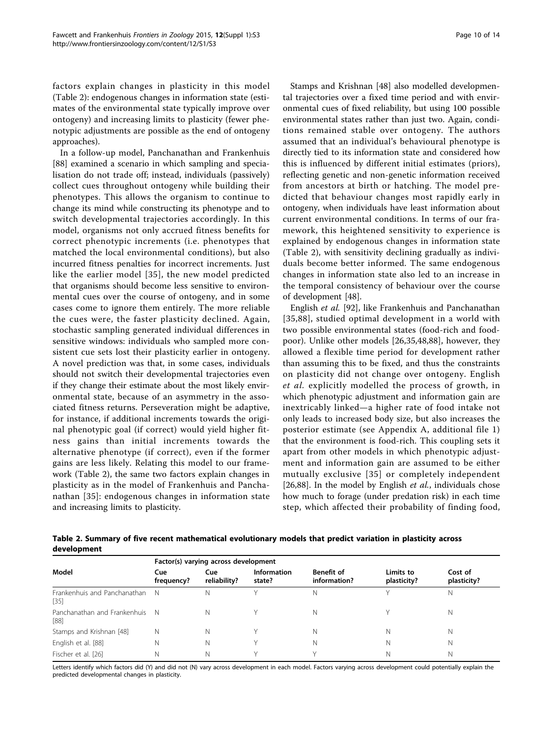<span id="page-9-0"></span>factors explain changes in plasticity in this model (Table 2): endogenous changes in information state (estimates of the environmental state typically improve over ontogeny) and increasing limits to plasticity (fewer phenotypic adjustments are possible as the end of ontogeny approaches).

In a follow-up model, Panchanathan and Frankenhuis [[88\]](#page-13-0) examined a scenario in which sampling and specialisation do not trade off; instead, individuals (passively) collect cues throughout ontogeny while building their phenotypes. This allows the organism to continue to change its mind while constructing its phenotype and to switch developmental trajectories accordingly. In this model, organisms not only accrued fitness benefits for correct phenotypic increments (i.e. phenotypes that matched the local environmental conditions), but also incurred fitness penalties for incorrect increments. Just like the earlier model [[35](#page-12-0)], the new model predicted that organisms should become less sensitive to environmental cues over the course of ontogeny, and in some cases come to ignore them entirely. The more reliable the cues were, the faster plasticity declined. Again, stochastic sampling generated individual differences in sensitive windows: individuals who sampled more consistent cue sets lost their plasticity earlier in ontogeny. A novel prediction was that, in some cases, individuals should not switch their developmental trajectories even if they change their estimate about the most likely environmental state, because of an asymmetry in the associated fitness returns. Perseveration might be adaptive, for instance, if additional increments towards the original phenotypic goal (if correct) would yield higher fitness gains than initial increments towards the alternative phenotype (if correct), even if the former gains are less likely. Relating this model to our framework (Table 2), the same two factors explain changes in plasticity as in the model of Frankenhuis and Panchanathan [[35](#page-12-0)]: endogenous changes in information state and increasing limits to plasticity.

Stamps and Krishnan [\[48](#page-12-0)] also modelled developmental trajectories over a fixed time period and with environmental cues of fixed reliability, but using 100 possible environmental states rather than just two. Again, conditions remained stable over ontogeny. The authors assumed that an individual's behavioural phenotype is directly tied to its information state and considered how this is influenced by different initial estimates (priors), reflecting genetic and non-genetic information received from ancestors at birth or hatching. The model predicted that behaviour changes most rapidly early in ontogeny, when individuals have least information about current environmental conditions. In terms of our framework, this heightened sensitivity to experience is explained by endogenous changes in information state (Table 2), with sensitivity declining gradually as individuals become better informed. The same endogenous changes in information state also led to an increase in the temporal consistency of behaviour over the course of development [[48](#page-12-0)].

English et al. [\[92\]](#page-13-0), like Frankenhuis and Panchanathan [[35,](#page-12-0)[88](#page-13-0)], studied optimal development in a world with two possible environmental states (food-rich and foodpoor). Unlike other models [\[26](#page-12-0),[35,48,](#page-12-0)[88\]](#page-13-0), however, they allowed a flexible time period for development rather than assuming this to be fixed, and thus the constraints on plasticity did not change over ontogeny. English et al. explicitly modelled the process of growth, in which phenotypic adjustment and information gain are inextricably linked—a higher rate of food intake not only leads to increased body size, but also increases the posterior estimate (see Appendix A, additional file 1) that the environment is food-rich. This coupling sets it apart from other models in which phenotypic adjustment and information gain are assumed to be either mutually exclusive [[35](#page-12-0)] or completely independent [[26,](#page-12-0)[88\]](#page-13-0). In the model by English  $et$   $al$ , individuals chose how much to forage (under predation risk) in each time step, which affected their probability of finding food,

Table 2. Summary of five recent mathematical evolutionary models that predict variation in plasticity across development

|                                        | Factor(s) varying across development |                     |                       |                                   |                          |                        |  |  |  |  |
|----------------------------------------|--------------------------------------|---------------------|-----------------------|-----------------------------------|--------------------------|------------------------|--|--|--|--|
| Model                                  | Cue<br>frequency?                    | Cue<br>reliability? | Information<br>state? | <b>Benefit of</b><br>information? | Limits to<br>plasticity? | Cost of<br>plasticity? |  |  |  |  |
| Frankenhuis and Panchanathan<br>$[35]$ | N                                    | N                   |                       | N                                 |                          | N                      |  |  |  |  |
| Panchanathan and Frankenhuis<br>[88]   | - N                                  | N                   |                       | N                                 |                          | N                      |  |  |  |  |
| Stamps and Krishnan [48]               | Ν                                    | N                   |                       | N                                 | N                        | N                      |  |  |  |  |
| English et al. [88]                    | N                                    | N                   |                       | N                                 | N                        | N                      |  |  |  |  |
| Fischer et al. [26]                    | Ν                                    | N                   |                       |                                   |                          | Ν                      |  |  |  |  |

Letters identify which factors did (Y) and did not (N) vary across development in each model. Factors varying across development could potentially explain the predicted developmental changes in plasticity.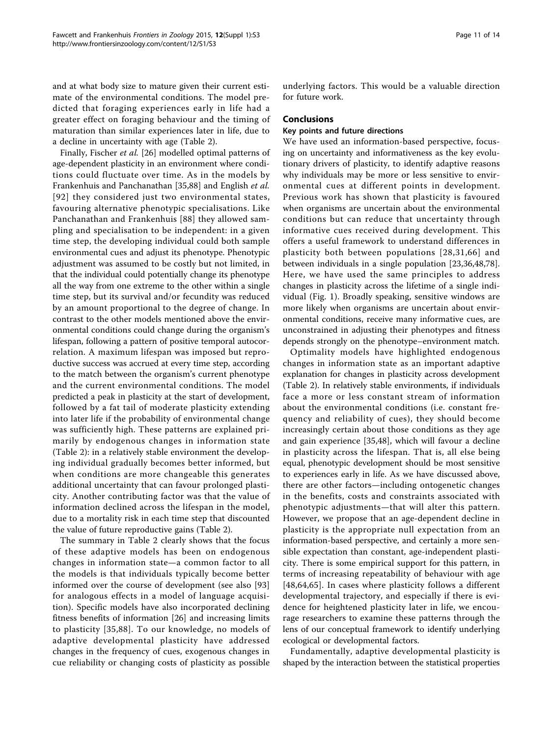and at what body size to mature given their current estimate of the environmental conditions. The model predicted that foraging experiences early in life had a greater effect on foraging behaviour and the timing of maturation than similar experiences later in life, due to a decline in uncertainty with age (Table [2\)](#page-9-0).

Finally, Fischer et al. [[26](#page-12-0)] modelled optimal patterns of age-dependent plasticity in an environment where conditions could fluctuate over time. As in the models by Frankenhuis and Panchanathan [[35,](#page-12-0)[88\]](#page-13-0) and English et al. [[92](#page-13-0)] they considered just two environmental states, favouring alternative phenotypic specialisations. Like Panchanathan and Frankenhuis [[88](#page-13-0)] they allowed sampling and specialisation to be independent: in a given time step, the developing individual could both sample environmental cues and adjust its phenotype. Phenotypic adjustment was assumed to be costly but not limited, in that the individual could potentially change its phenotype all the way from one extreme to the other within a single time step, but its survival and/or fecundity was reduced by an amount proportional to the degree of change. In contrast to the other models mentioned above the environmental conditions could change during the organism's lifespan, following a pattern of positive temporal autocorrelation. A maximum lifespan was imposed but reproductive success was accrued at every time step, according to the match between the organism's current phenotype and the current environmental conditions. The model predicted a peak in plasticity at the start of development, followed by a fat tail of moderate plasticity extending into later life if the probability of environmental change was sufficiently high. These patterns are explained primarily by endogenous changes in information state (Table [2\)](#page-9-0): in a relatively stable environment the developing individual gradually becomes better informed, but when conditions are more changeable this generates additional uncertainty that can favour prolonged plasticity. Another contributing factor was that the value of information declined across the lifespan in the model, due to a mortality risk in each time step that discounted the value of future reproductive gains (Table [2](#page-9-0)).

The summary in Table [2](#page-9-0) clearly shows that the focus of these adaptive models has been on endogenous changes in information state—a common factor to all the models is that individuals typically become better informed over the course of development (see also [\[93](#page-13-0)] for analogous effects in a model of language acquisition). Specific models have also incorporated declining fitness benefits of information [[26\]](#page-12-0) and increasing limits to plasticity [[35](#page-12-0),[88\]](#page-13-0). To our knowledge, no models of adaptive developmental plasticity have addressed changes in the frequency of cues, exogenous changes in cue reliability or changing costs of plasticity as possible underlying factors. This would be a valuable direction for future work.

# Conclusions

# Key points and future directions

We have used an information-based perspective, focusing on uncertainty and informativeness as the key evolutionary drivers of plasticity, to identify adaptive reasons why individuals may be more or less sensitive to environmental cues at different points in development. Previous work has shown that plasticity is favoured when organisms are uncertain about the environmental conditions but can reduce that uncertainty through informative cues received during development. This offers a useful framework to understand differences in plasticity both between populations [[28,31](#page-12-0),[66\]](#page-13-0) and between individuals in a single population [[23,36,48](#page-12-0)[,78](#page-13-0)]. Here, we have used the same principles to address changes in plasticity across the lifetime of a single individual (Fig. [1](#page-1-0)). Broadly speaking, sensitive windows are more likely when organisms are uncertain about environmental conditions, receive many informative cues, are unconstrained in adjusting their phenotypes and fitness depends strongly on the phenotype–environment match.

Optimality models have highlighted endogenous changes in information state as an important adaptive explanation for changes in plasticity across development (Table [2\)](#page-9-0). In relatively stable environments, if individuals face a more or less constant stream of information about the environmental conditions (i.e. constant frequency and reliability of cues), they should become increasingly certain about those conditions as they age and gain experience [[35,48\]](#page-12-0), which will favour a decline in plasticity across the lifespan. That is, all else being equal, phenotypic development should be most sensitive to experiences early in life. As we have discussed above, there are other factors—including ontogenetic changes in the benefits, costs and constraints associated with phenotypic adjustments—that will alter this pattern. However, we propose that an age-dependent decline in plasticity is the appropriate null expectation from an information-based perspective, and certainly a more sensible expectation than constant, age-independent plasticity. There is some empirical support for this pattern, in terms of increasing repeatability of behaviour with age [[48](#page-12-0),[64,65](#page-13-0)]. In cases where plasticity follows a different developmental trajectory, and especially if there is evidence for heightened plasticity later in life, we encourage researchers to examine these patterns through the lens of our conceptual framework to identify underlying ecological or developmental factors.

Fundamentally, adaptive developmental plasticity is shaped by the interaction between the statistical properties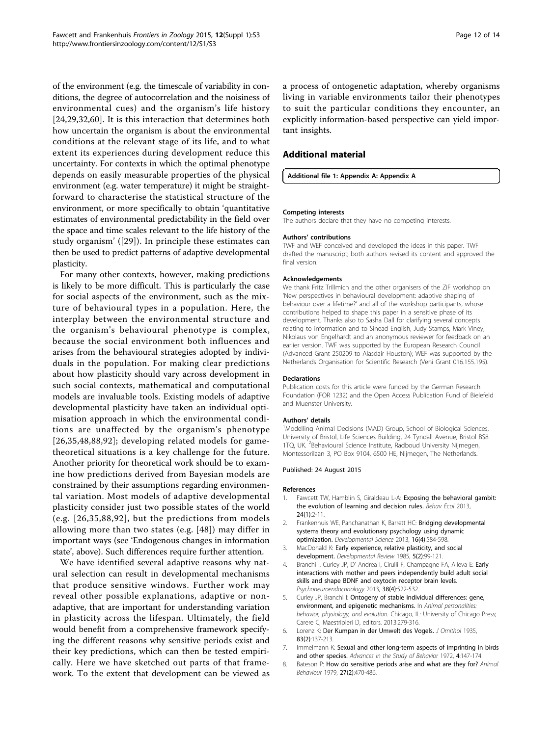<span id="page-11-0"></span>of the environment (e.g. the timescale of variability in conditions, the degree of autocorrelation and the noisiness of environmental cues) and the organism's life history [[24,29](#page-12-0),[32,60](#page-12-0)]. It is this interaction that determines both how uncertain the organism is about the environmental conditions at the relevant stage of its life, and to what extent its experiences during development reduce this uncertainty. For contexts in which the optimal phenotype depends on easily measurable properties of the physical environment (e.g. water temperature) it might be straightforward to characterise the statistical structure of the environment, or more specifically to obtain 'quantitative estimates of environmental predictability in the field over the space and time scales relevant to the life history of the study organism' ([[29\]](#page-12-0)). In principle these estimates can then be used to predict patterns of adaptive developmental plasticity.

For many other contexts, however, making predictions is likely to be more difficult. This is particularly the case for social aspects of the environment, such as the mixture of behavioural types in a population. Here, the interplay between the environmental structure and the organism's behavioural phenotype is complex, because the social environment both influences and arises from the behavioural strategies adopted by individuals in the population. For making clear predictions about how plasticity should vary across development in such social contexts, mathematical and computational models are invaluable tools. Existing models of adaptive developmental plasticity have taken an individual optimisation approach in which the environmental conditions are unaffected by the organism's phenotype [[26](#page-12-0),[35](#page-12-0),[48,](#page-12-0)[88,92](#page-13-0)]; developing related models for gametheoretical situations is a key challenge for the future. Another priority for theoretical work should be to examine how predictions derived from Bayesian models are constrained by their assumptions regarding environmental variation. Most models of adaptive developmental plasticity consider just two possible states of the world (e.g. [[26](#page-12-0),[35,](#page-12-0)[88](#page-13-0),[92\]](#page-13-0), but the predictions from models allowing more than two states (e.g. [[48](#page-12-0)]) may differ in important ways (see 'Endogenous changes in information state', above). Such differences require further attention.

We have identified several adaptive reasons why natural selection can result in developmental mechanisms that produce sensitive windows. Further work may reveal other possible explanations, adaptive or nonadaptive, that are important for understanding variation in plasticity across the lifespan. Ultimately, the field would benefit from a comprehensive framework specifying the different reasons why sensitive periods exist and their key predictions, which can then be tested empirically. Here we have sketched out parts of that framework. To the extent that development can be viewed as a process of ontogenetic adaptation, whereby organisms living in variable environments tailor their phenotypes to suit the particular conditions they encounter, an explicitly information-based perspective can yield important insights.

# Additional material

[Additional file 1: Appendix A:](http://www.biomedcentral.com/content/supplementary/1742-9994-12-S1-S3-S1.docx) Appendix A

#### Competing interests

The authors declare that they have no competing interests.

#### Authors' contributions

TWF and WEF conceived and developed the ideas in this paper. TWF drafted the manuscript; both authors revised its content and approved the final version.

#### Acknowledgements

We thank Fritz Trillmich and the other organisers of the ZiF workshop on 'New perspectives in behavioural development: adaptive shaping of behaviour over a lifetime?' and all of the workshop participants, whose contributions helped to shape this paper in a sensitive phase of its development. Thanks also to Sasha Dall for clarifying several concepts relating to information and to Sinead English, Judy Stamps, Mark Viney, Nikolaus von Engelhardt and an anonymous reviewer for feedback on an earlier version. TWF was supported by the European Research Council (Advanced Grant 250209 to Alasdair Houston); WEF was supported by the Netherlands Organisation for Scientific Research (Veni Grant 016.155.195).

#### Declarations

Publication costs for this article were funded by the German Research Foundation (FOR 1232) and the Open Access Publication Fund of Bielefeld and Muenster University.

#### Authors' details <sup>1</sup>

<sup>1</sup>Modelling Animal Decisions (MAD) Group, School of Biological Sciences, University of Bristol, Life Sciences Building, 24 Tyndall Avenue, Bristol BS8 1TQ, UK. <sup>2</sup>Behavioural Science Institute, Radboud University Nijmegen Montessorilaan 3, PO Box 9104, 6500 HE, Nijmegen, The Netherlands.

#### Published: 24 August 2015

#### References

- 1. Fawcett TW, Hamblin S, Giraldeau L-A: Exposing the behavioral gambit: the evolution of learning and decision rules. Behav Ecol 2013, 24(1):2-11.
- 2. Frankenhuis WE, Panchanathan K, Barrett HC: Bridging developmental systems theory and evolutionary psychology using dynamic optimization. Developmental Science 2013, 16(4):584-598.
- 3. MacDonald K: Early experience, relative plasticity, and social development. Developmental Review 1985, 5(2):99-121.
- 4. Branchi I, Curley JP, D' Andrea I, Cirulli F, Champagne FA, Alleva E: Early interactions with mother and peers independently build adult social skills and shape BDNF and oxytocin receptor brain levels. Psychoneuroendocrinology 2013, 38(4):522-532.
- 5. Curley JP, Branchi I: Ontogeny of stable individual differences: gene, environment, and epigenetic mechanisms. In Animal personalities: behavior, physiology, and evolution. Chicago, IL: University of Chicago Press; Carere C, Maestripieri D, editors. 2013:279-316.
- 6. Lorenz K: Der Kumpan in der Umwelt des Vogels. J Ornithol 1935, 83(2):137-213.
- 7. Immelmann K: Sexual and other long-term aspects of imprinting in birds and other species. Advances in the Study of Behavior 1972, 4:147-174.
- 8. Bateson P: How do sensitive periods arise and what are they for? Animal Behaviour 1979, 27(2):470-486.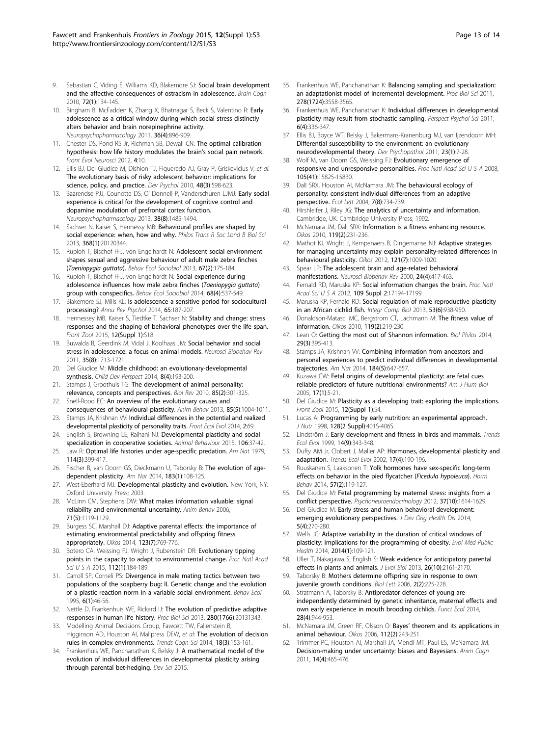- <span id="page-12-0"></span>9. Sebastian C, Viding E, Williams KD, Blakemore SJ: Social brain development and the affective consequences of ostracism in adolescence. Brain Cogn 2010, 72(1):134-145.
- 10. Bingham B, McFadden K, Zhang X, Bhatnagar S, Beck S, Valentino R: Early adolescence as a critical window during which social stress distinctly alters behavior and brain norepinephrine activity. Neuropsychopharmacology 2011, 36(4):896-909.
- 11. Chester DS, Pond RS Jr, Richman SB, Dewall CN: The optimal calibration hypothesis: how life history modulates the brain's social pain network. Front Evol Neurosci 2012, 4:10.
- 12. Ellis BJ, Del Giudice M, Dishion TJ, Figueredo AJ, Gray P, Griskevicius V, et al: The evolutionary basis of risky adolescent behavior: implications for science, policy, and practice. Dev Psychol 2010, 48(3):598-623.
- 13. Baarendse PJJ, Counotte DS, O' Donnell P, Vanderschuren LJMJ: Early social experience is critical for the development of cognitive control and dopamine modulation of prefrontal cortex function. Neuropsychopharmacology 2013, 38(8):1485-1494.
- 14. Sachser N, Kaiser S, Hennessy MB: Behavioural profiles are shaped by social experience: when, how and why. Philos Trans R Soc Lond B Biol Sci 2013, 368(1):20120344.
- 15. Ruploh T, Bischof H-J, von Engelhardt N: Adolescent social environment shapes sexual and aggressive behaviour of adult male zebra finches (Taeniopygia guttata). Behav Ecol Sociobiol 2013, 67(2):175-184.
- 16. Ruploh T, Bischof H-J, von Engelhardt N: Social experience during adolescence influences how male zebra finches (Taeniopyaia guttata) group with conspecifics. Behav Ecol Sociobiol 2014, 68(4):537-549.
- 17. Blakemore SJ, Mills KL: Is adolescence a sensitive period for sociocultural processing? Annu Rev Psychol 2014, 65:187-207.
- 18. Hennessey MB, Kaiser S, Tiedtke T, Sachser N: Stability and change: stress responses and the shaping of behavioral phenotypes over the life span. Front Zool 2015, 12(Suppl 1):S18.
- 19. Buwalda B, Geerdink M, Vidal J, Koolhaas JM: Social behavior and social stress in adolescence: a focus on animal models. Neurosci Biobehav Rev 2011, 35(8):1713-1721.
- 20. Del Giudice M: Middle childhood: an evolutionary-developmental synthesis. Child Dev Perspect 2014, 8(4):193-200.
- 21. Stamps J, Groothuis TG: The development of animal personality: relevance, concepts and perspectives. Biol Rev 2010, 85(2):301-325.
- 22. Snell-Rood EC: An overview of the evolutionary causes and consequences of behavioural plasticity. Anim Behav 2013, 85(5):1004-1011.
- 23. Stamps JA, Krishnan VV: Individual differences in the potential and realized developmental plasticity of personality traits. Front Ecol Evol 2014, 2:69.
- 24. English S, Browning LE, Raihani NJ: Developmental plasticity and social specialization in cooperative societies. Animal Behaviour 2015, 106:37-42.
- 25. Law R: Optimal life histories under age-specific predation. Am Nat 1979, 114(3):399-417.
- 26. Fischer B, van Doorn GS, Dieckmann U, Taborsky B: The evolution of agedependent plasticity. Am Nat 2014, 183(1):108-125.
- 27. West-Eberhard MJ: Developmental plasticity and evolution. New York, NY: Oxford University Press; 2003.
- 28. McLinn CM, Stephens DW: What makes information valuable: signal reliability and environmental uncertainty. Anim Behav 2006, 71(5):1119-1129.
- 29. Burgess SC, Marshall DJ: Adaptive parental effects: the importance of estimating environmental predictability and offspring fitness appropriately. Oikos 2014, 123(7):769-776.
- 30. Botero CA, Weissing FJ, Wright J, Rubenstein DR: Evolutionary tipping points in the capacity to adapt to environmental change. Proc Natl Acad Sci U S A 2015, 112(1):184-189.
- 31. Carroll SP, Corneli PS: Divergence in male mating tactics between two populations of the soapberry bug: II. Genetic change and the evolution of a plastic reaction norm in a variable social environment. Behav Ecol 1995, 6(1):46-56.
- 32. Nettle D, Frankenhuis WE, Rickard IJ: The evolution of predictive adaptive responses in human life history. Proc Biol Sci 2013, 280(1766):20131343.
- 33. Modelling Animal Decisions Group, Fawcett TW, Fallenstein B, Higginson AD, Houston AI, Mallpress DEW, et al: The evolution of decision rules in complex environments. Trends Cogn Sci 2014, 18(3):153-161.
- 34. Frankenhuis WE, Panchanathan K, Belsky J: A mathematical model of the evolution of individual differences in developmental plasticity arising through parental bet-hedging. Dev Sci 2015.
- 35. Frankenhuis WE, Panchanathan K: Balancing sampling and specialization: an adaptationist model of incremental development. Proc Biol Sci 2011, 278(1724):3558-3565.
- 36. Frankenhuis WE, Panchanathan K: Individual differences in developmental plasticity may result from stochastic sampling. Perspect Psychol Sci 2011, 6(4):336-347.
- 37. Ellis BJ, Boyce WT, Belsky J, Bakermans-Kranenburg MJ, van Ijzendoorn MH: Differential susceptibility to the environment: an evolutionary– neurodevelopmental theory. Dev Psychopathol 2011, 23(1):7-28.
- 38. Wolf M, van Doorn GS, Weissing FJ: Evolutionary emergence of responsive and unresponsive personalities. Proc Natl Acad Sci U S A 2008, 105(41):15825-15830.
- 39. Dall SRX, Houston AI, McNamara JM: The behavioural ecology of personality: consistent individual differences from an adaptive perspective. Ecol Lett 2004, 7(8):734-739.
- 40. Hirshleifer J, Riley JG: The analytics of uncertainty and information. Cambridge, UK: Cambridge University Press; 1992.
- 41. McNamara JM, Dall SRX: Information is a fitness enhancing resource. Oikos 2010, 119(2):231-236.
- 42. Mathot KJ, Wright J, Kempenaers B, Dingemanse NJ: Adaptive strategies for managing uncertainty may explain personality-related differences in behavioural plasticity. Oikos 2012, 121(7):1009-1020.
- 43. Spear LP: The adolescent brain and age-related behavioral manifestations. Neurosci Biobehav Rev 2000, 24(4):417-463.
- 44. Fernald RD, Maruska KP: Social information changes the brain. Proc Natl Acad Sci U S A 2012, 109 Suppl 2:17194-17199.
- Maruska KP, Fernald RD: Social regulation of male reproductive plasticity in an African cichlid fish. Integr Comp Biol 2013, 53(6):938-950.
- 46. Donaldson-Matasci MC, Bergstrom CT, Lachmann M: The fitness value of information. Oikos 2010, 119(2):219-230.
- 47. Lean O: Getting the most out of Shannon information. Biol Philos 2014, 29(3):395-413.
- 48. Stamps JA, Krishnan W: Combining information from ancestors and personal experiences to predict individual differences in developmental trajectories. Am Nat 2014, 184(5):647-657.
- 49. Kuzawa CW: Fetal origins of developmental plasticity: are fetal cues reliable predictors of future nutritional environments? Am J Hum Biol 2005, 17(1):5-21.
- 50. Del Giudice M: Plasticity as a developing trait: exploring the implications. Front Zool 2015, 12(Suppl 1):S4.
- 51. Lucas A: Programming by early nutrition: an experimental approach. J Nutr 1998, 128(2 Suppl):401S-406S
- 52. Lindström J: Early development and fitness in birds and mammals. Trends Ecol Evol 1999, 14(9):343-348.
- 53. Dufty AM Jr, Clobert J, Møller AP: Hormones, developmental plasticity and adaptation. Trends Ecol Evol 2002, 17(4):190-196.
- Ruuskanen S, Laaksonen T: Yolk hormones have sex-specific long-term effects on behavior in the pied flycatcher (Ficedula hypoleuca). Horm Behav 2014, 57(2):119-127.
- 55. Del Giudice M: Fetal programming by maternal stress: insights from a conflict perspective. Psychoneuroendocrinology 2012, 37(10):1614-1629.
- 56. Del Giudice M: Early stress and human behavioral development: emerging evolutionary perspectives. J Dev Orig Health Dis 2014, 5(4):270-280.
- 57. Wells JC: Adaptive variability in the duration of critical windows of plasticity: implications for the programming of obesity. Evol Med Public Health 2014, 2014(1):109-121.
- 58. Uller T, Nakagawa S, English S: Weak evidence for anticipatory parental effects in plants and animals. J Evol Biol 2013, 26(10):2161-2170.
- 59. Taborsky B: Mothers determine offspring size in response to own juvenile growth conditions. Biol Lett 2006, 2(2):225-228.
- 60. Stratmann A, Taborsky B: Antipredator defences of young are independently determined by genetic inheritance, maternal effects and own early experience in mouth brooding cichlids. Funct Ecol 2014, 28(4):944-953.
- 61. McNamara JM, Green RF, Olsson O: Bayes' theorem and its applications in animal behaviour. Oikos 2006, 112(2):243-251.
- 62. Trimmer PC, Houston AI, Marshall JA, Mendl MT, Paul ES, McNamara JM: Decision-making under uncertainty: biases and Bayesians. Anim Cogn 2011, 14(4):465-476.